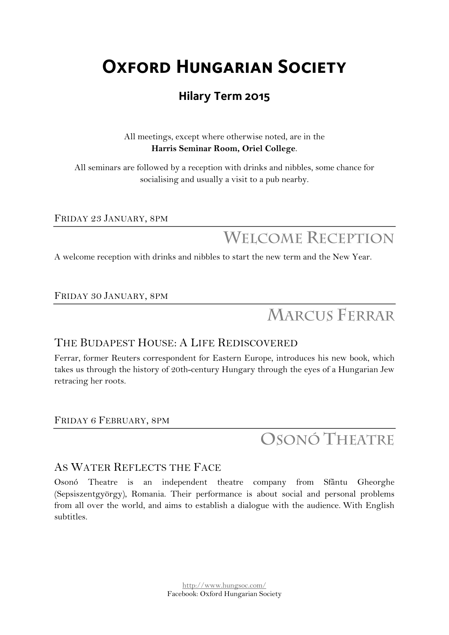# **Oxford Hungarian Society**

### **Hilary Term 2015**

All meetings, except where otherwise noted, are in the **Harris Seminar Room, Oriel College**.

All seminars are followed by a reception with drinks and nibbles, some chance for socialising and usually a visit to a pub nearby.

FRIDAY 23 JANUARY, 8PM

**WELCOME RECEPTION**

A welcome reception with drinks and nibbles to start the new term and the New Year.

FRIDAY 30 JANUARY, 8PM

# **MARCUS FERRAR**

#### THE BUDAPEST HOUSE: A LIFE REDISCOVERED

Ferrar, former Reuters correspondent for Eastern Europe, introduces his new book, which takes us through the history of 20th-century Hungary through the eyes of a Hungarian Jew retracing her roots.

FRIDAY 6 FEBRUARY, 8PM

## **OSONÓ THEATRE**

#### AS WATER REFLECTS THE FACE

Osonó Theatre is an independent theatre company from Sfântu Gheorghe (Sepsiszentgyörgy), Romania. Their performance is about social and personal problems from all over the world, and aims to establish a dialogue with the audience. With English subtitles.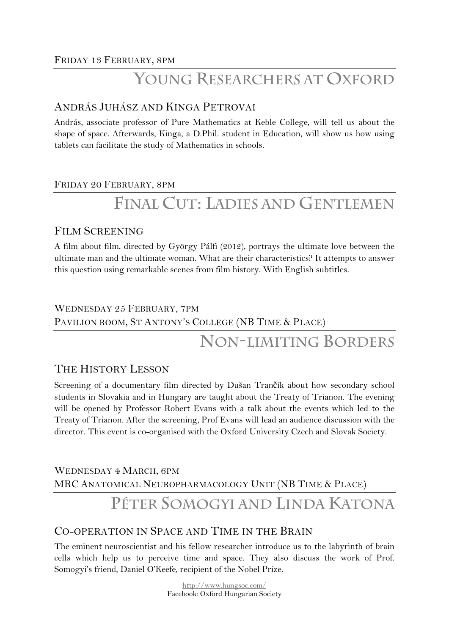### **YOUNG RESEARCHERS AT OXFORD**

#### ANDRÁS JUHÁSZ AND KINGA PETROVAI

András, associate professor of Pure Mathematics at Keble College, will tell us about the shape of space. Afterwards, Kinga, a D.Phil. student in Education, will show us how using tablets can facilitate the study of Mathematics in schools.

#### FRIDAY 20 FEBRUARY, 8PM

# **FINAL CUT: LADIES AND GENTLEMEN**

#### FILM SCREENING

A film about film, directed by György Pálfi (2012), portrays the ultimate love between the ultimate man and the ultimate woman. What are their characteristics? It attempts to answer this question using remarkable scenes from film history. With English subtitles.

### WEDNESDAY 25 FEBRUARY, 7PM PAVILION ROOM, ST ANTONY'S COLLEGE (NB TIME & PLACE) **NON-LIMITING BORDERS**

### THE HISTORY LESSON

Screening of a documentary film directed by Dušan Trančík about how secondary school students in Slovakia and in Hungary are taught about the Treaty of Trianon. The evening will be opened by Professor Robert Evans with a talk about the events which led to the Treaty of Trianon. After the screening, Prof Evans will lead an audience discussion with the director. This event is co-organised with the Oxford University Czech and Slovak Society.

WEDNESDAY 4 MARCH, 6PM MRC ANATOMICAL NEUROPHARMACOLOGY UNIT (NB TIME & PLACE)

## **PÉTER SOMOGYI AND LINDA KATONA**

### CO-OPERATION IN SPACE AND TIME IN THE BRAIN

The eminent neuroscientist and his fellow researcher introduce us to the labyrinth of brain cells which help us to perceive time and space. They also discuss the work of Prof. Somogyi's friend, Daniel O'Keefe, recipient of the Nobel Prize.

> http://www.hungsoc.com/ Facebook: Oxford Hungarian Society